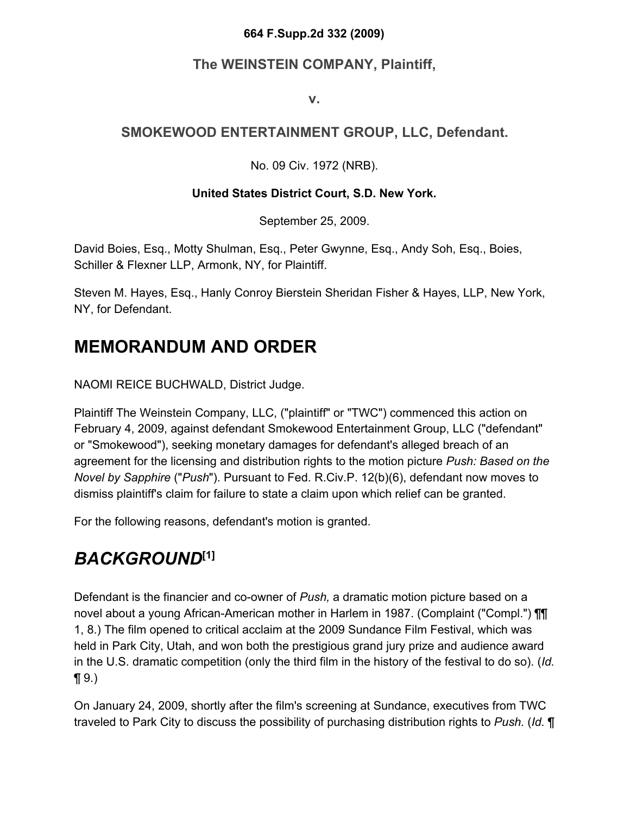#### **664 F.Supp.2d 332 (2009)**

#### **The WEINSTEIN COMPANY, Plaintiff,**

**v.**

#### **SMOKEWOOD ENTERTAINMENT GROUP, LLC, Defendant.**

No. 09 Civ. 1972 (NRB).

#### **United States District Court, S.D. New York.**

September 25, 2009.

David Boies, Esq., Motty Shulman, Esq., Peter Gwynne, Esq., Andy Soh, Esq., Boies, Schiller & Flexner LLP, Armonk, NY, for Plaintiff.

Steven M. Hayes, Esq., Hanly Conroy Bierstein Sheridan Fisher & Hayes, LLP, New York, NY, for Defendant.

#### **MEMORANDUM AND ORDER**

NAOMI REICE BUCHWALD, District Judge.

Plaintiff The Weinstein Company, LLC, ("plaintiff" or "TWC") commenced this action on February 4, 2009, against defendant Smokewood Entertainment Group, LLC ("defendant" or "Smokewood"), seeking monetary damages for defendant's alleged breach of an agreement for the licensing and distribution rights to the motion picture *Push: Based on the Novel by Sapphire* ("*Push*"). Pursuant to Fed. R.Civ.P. 12(b)(6), defendant now moves to dismiss plaintiff's claim for failure to state a claim upon which relief can be granted.

For the following reasons, defendant's motion is granted.

## *BACKGROUND***[1]**

Defendant is the financier and co-owner of *Push,* a dramatic motion picture based on a novel about a young African-American mother in Harlem in 1987. (Complaint ("Compl.") **[11**] 1, 8.) The film opened to critical acclaim at the 2009 Sundance Film Festival, which was held in Park City, Utah, and won both the prestigious grand jury prize and audience award in the U.S. dramatic competition (only the third film in the history of the festival to do so). (*Id.*  $\P(9.)$ 

On January 24, 2009, shortly after the film's screening at Sundance, executives from TWC traveled to Park City to discuss the possibility of purchasing distribution rights to *Push.* (*Id.* ¶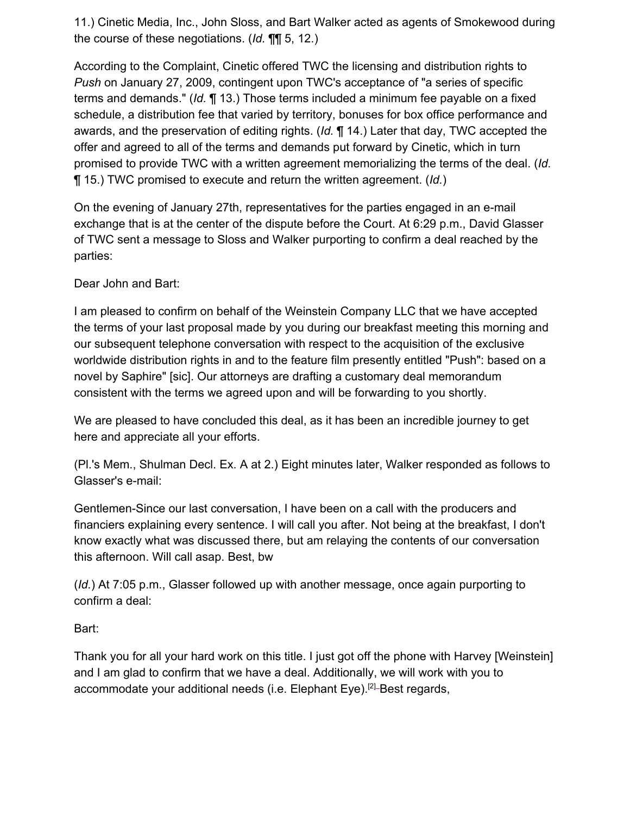11.) Cinetic Media, Inc., John Sloss, and Bart Walker acted as agents of Smokewood during the course of these negotiations. (*Id.* ¶¶ 5, 12.)

According to the Complaint, Cinetic offered TWC the licensing and distribution rights to *Push* on January 27, 2009, contingent upon TWC's acceptance of "a series of specific terms and demands." (*Id.* ¶ 13.) Those terms included a minimum fee payable on a fixed schedule, a distribution fee that varied by territory, bonuses for box office performance and awards, and the preservation of editing rights. (*Id.* ¶ 14.) Later that day, TWC accepted the offer and agreed to all of the terms and demands put forward by Cinetic, which in turn promised to provide TWC with a written agreement memorializing the terms of the deal. (*Id.* ¶ 15.) TWC promised to execute and return the written agreement. (*Id.*)

On the evening of January 27th, representatives for the parties engaged in an e-mail exchange that is at the center of the dispute before the Court. At 6:29 p.m., David Glasser of TWC sent a message to Sloss and Walker purporting to confirm a deal reached by the parties:

Dear John and Bart:

I am pleased to confirm on behalf of the Weinstein Company LLC that we have accepted the terms of your last proposal made by you during our breakfast meeting this morning and our subsequent telephone conversation with respect to the acquisition of the exclusive worldwide distribution rights in and to the feature film presently entitled "Push": based on a novel by Saphire" [sic]. Our attorneys are drafting a customary deal memorandum consistent with the terms we agreed upon and will be forwarding to you shortly.

We are pleased to have concluded this deal, as it has been an incredible journey to get here and appreciate all your efforts.

(Pl.'s Mem., Shulman Decl. Ex. A at 2.) Eight minutes later, Walker responded as follows to Glasser's e-mail:

Gentlemen-Since our last conversation, I have been on a call with the producers and financiers explaining every sentence. I will call you after. Not being at the breakfast, I don't know exactly what was discussed there, but am relaying the contents of our conversation this afternoon. Will call asap. Best, bw

(*Id.*) At 7:05 p.m., Glasser followed up with another message, once again purporting to confirm a deal:

Bart:

Thank you for all your hard work on this title. I just got off the phone with Harvey [Weinstein] and I am glad to confirm that we have a deal. Additionally, we will work with you to accommodate your additional needs (i.e. Elephant Eye).<sup>[2]</sup>-Best regards,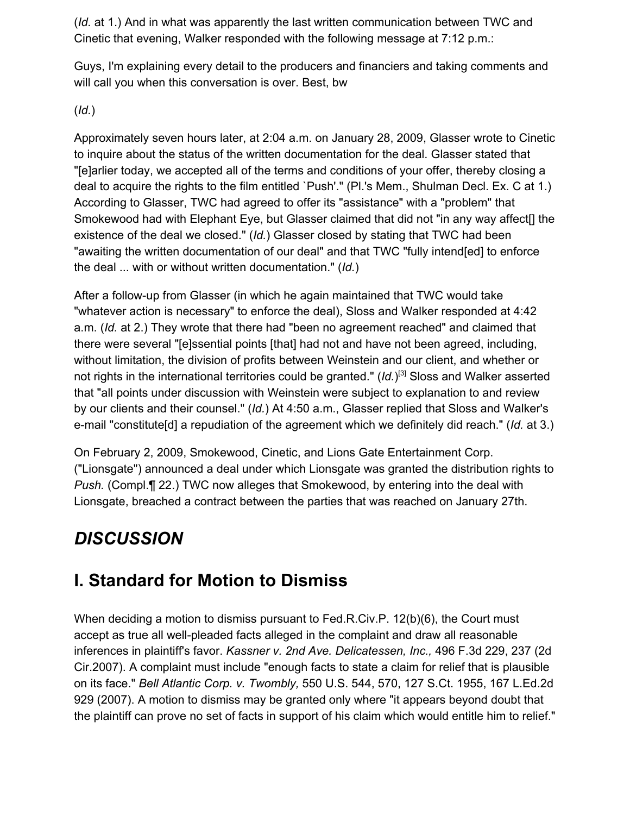(*Id.* at 1.) And in what was apparently the last written communication between TWC and Cinetic that evening, Walker responded with the following message at 7:12 p.m.:

Guys, I'm explaining every detail to the producers and financiers and taking comments and will call you when this conversation is over. Best, bw

(*Id.*)

Approximately seven hours later, at 2:04 a.m. on January 28, 2009, Glasser wrote to Cinetic to inquire about the status of the written documentation for the deal. Glasser stated that "[e]arlier today, we accepted all of the terms and conditions of your offer, thereby closing a deal to acquire the rights to the film entitled `Push'." (Pl.'s Mem., Shulman Decl. Ex. C at 1.) According to Glasser, TWC had agreed to offer its "assistance" with a "problem" that Smokewood had with Elephant Eye, but Glasser claimed that did not "in any way affect[] the existence of the deal we closed." (*Id.*) Glasser closed by stating that TWC had been "awaiting the written documentation of our deal" and that TWC "fully intend[ed] to enforce the deal ... with or without written documentation." (*Id.*)

After a follow-up from Glasser (in which he again maintained that TWC would take "whatever action is necessary" to enforce the deal), Sloss and Walker responded at 4:42 a.m. (*Id.* at 2.) They wrote that there had "been no agreement reached" and claimed that there were several "[e]ssential points [that] had not and have not been agreed, including, without limitation, the division of profits between Weinstein and our client, and whether or not rights in the international territories could be granted." (Id.)<sup>[3]</sup> Sloss and Walker asserted that "all points under discussion with Weinstein were subject to explanation to and review by our clients and their counsel." (*Id.*) At 4:50 a.m., Glasser replied that Sloss and Walker's e-mail "constitute[d] a repudiation of the agreement which we definitely did reach." (*Id.* at 3.)

On February 2, 2009, Smokewood, Cinetic, and Lions Gate Entertainment Corp. ("Lionsgate") announced a deal under which Lionsgate was granted the distribution rights to *Push.* (Compl.¶ 22.) TWC now alleges that Smokewood, by entering into the deal with Lionsgate, breached a contract between the parties that was reached on January 27th.

# *DISCUSSION*

# **I. Standard for Motion to Dismiss**

When deciding a motion to dismiss pursuant to Fed.R.Civ.P. 12(b)(6), the Court must accept as true all well-pleaded facts alleged in the complaint and draw all reasonable inferences in plaintiff's favor. *Kassner v. 2nd Ave. Delicatessen, Inc.,* 496 F.3d 229, 237 (2d Cir.2007). A complaint must include "enough facts to state a claim for relief that is plausible on its face." *Bell Atlantic Corp. v. Twombly,* 550 U.S. 544, 570, 127 S.Ct. 1955, 167 L.Ed.2d 929 (2007). A motion to dismiss may be granted only where "it appears beyond doubt that the plaintiff can prove no set of facts in support of his claim which would entitle him to relief."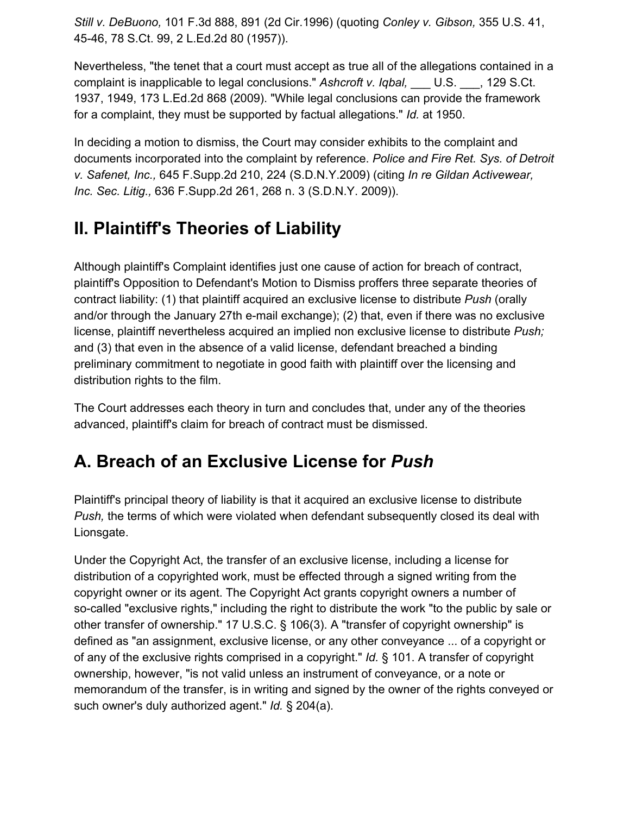*Still v. DeBuono,* 101 F.3d 888, 891 (2d Cir.1996) (quoting *Conley v. Gibson,* 355 U.S. 41, 45-46, 78 S.Ct. 99, 2 L.Ed.2d 80 (1957)).

Nevertheless, "the tenet that a court must accept as true all of the allegations contained in a complaint is inapplicable to legal conclusions." *Ashcroft v. Iqbal,* \_\_\_ U.S. \_\_\_, 129 S.Ct. 1937, 1949, 173 L.Ed.2d 868 (2009). "While legal conclusions can provide the framework for a complaint, they must be supported by factual allegations." *Id.* at 1950.

In deciding a motion to dismiss, the Court may consider exhibits to the complaint and documents incorporated into the complaint by reference. *Police and Fire Ret. Sys. of Detroit v. Safenet, Inc.,* 645 F.Supp.2d 210, 224 (S.D.N.Y.2009) (citing *In re Gildan Activewear, Inc. Sec. Litig.,* 636 F.Supp.2d 261, 268 n. 3 (S.D.N.Y. 2009)).

#### **II. Plaintiff's Theories of Liability**

Although plaintiff's Complaint identifies just one cause of action for breach of contract, plaintiff's Opposition to Defendant's Motion to Dismiss proffers three separate theories of contract liability: (1) that plaintiff acquired an exclusive license to distribute *Push* (orally and/or through the January 27th e-mail exchange); (2) that, even if there was no exclusive license, plaintiff nevertheless acquired an implied non exclusive license to distribute *Push;* and (3) that even in the absence of a valid license, defendant breached a binding preliminary commitment to negotiate in good faith with plaintiff over the licensing and distribution rights to the film.

The Court addresses each theory in turn and concludes that, under any of the theories advanced, plaintiff's claim for breach of contract must be dismissed.

## **A. Breach of an Exclusive License for** *Push*

Plaintiff's principal theory of liability is that it acquired an exclusive license to distribute *Push,* the terms of which were violated when defendant subsequently closed its deal with Lionsgate.

Under the Copyright Act, the transfer of an exclusive license, including a license for distribution of a copyrighted work, must be effected through a signed writing from the copyright owner or its agent. The Copyright Act grants copyright owners a number of so-called "exclusive rights," including the right to distribute the work "to the public by sale or other transfer of ownership." 17 U.S.C. § 106(3). A "transfer of copyright ownership" is defined as "an assignment, exclusive license, or any other conveyance ... of a copyright or of any of the exclusive rights comprised in a copyright." *Id.* § 101. A transfer of copyright ownership, however, "is not valid unless an instrument of conveyance, or a note or memorandum of the transfer, is in writing and signed by the owner of the rights conveyed or such owner's duly authorized agent." *Id.* § 204(a).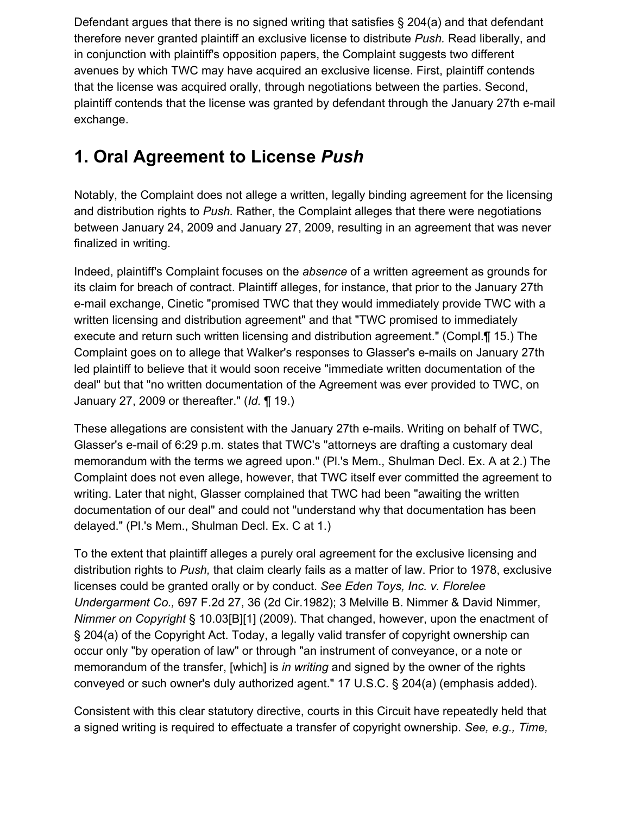Defendant argues that there is no signed writing that satisfies § 204(a) and that defendant therefore never granted plaintiff an exclusive license to distribute *Push.* Read liberally, and in conjunction with plaintiff's opposition papers, the Complaint suggests two different avenues by which TWC may have acquired an exclusive license. First, plaintiff contends that the license was acquired orally, through negotiations between the parties. Second, plaintiff contends that the license was granted by defendant through the January 27th e-mail exchange.

## **1. Oral Agreement to License** *Push*

Notably, the Complaint does not allege a written, legally binding agreement for the licensing and distribution rights to *Push.* Rather, the Complaint alleges that there were negotiations between January 24, 2009 and January 27, 2009, resulting in an agreement that was never finalized in writing.

Indeed, plaintiff's Complaint focuses on the *absence* of a written agreement as grounds for its claim for breach of contract. Plaintiff alleges, for instance, that prior to the January 27th e-mail exchange, Cinetic "promised TWC that they would immediately provide TWC with a written licensing and distribution agreement" and that "TWC promised to immediately execute and return such written licensing and distribution agreement." (Compl.¶ 15.) The Complaint goes on to allege that Walker's responses to Glasser's e-mails on January 27th led plaintiff to believe that it would soon receive "immediate written documentation of the deal" but that "no written documentation of the Agreement was ever provided to TWC, on January 27, 2009 or thereafter." (*Id.* ¶ 19.)

These allegations are consistent with the January 27th e-mails. Writing on behalf of TWC, Glasser's e-mail of 6:29 p.m. states that TWC's "attorneys are drafting a customary deal memorandum with the terms we agreed upon." (Pl.'s Mem., Shulman Decl. Ex. A at 2.) The Complaint does not even allege, however, that TWC itself ever committed the agreement to writing. Later that night, Glasser complained that TWC had been "awaiting the written documentation of our deal" and could not "understand why that documentation has been delayed." (Pl.'s Mem., Shulman Decl. Ex. C at 1.)

To the extent that plaintiff alleges a purely oral agreement for the exclusive licensing and distribution rights to *Push,* that claim clearly fails as a matter of law. Prior to 1978, exclusive licenses could be granted orally or by conduct. *See Eden Toys, Inc. v. Florelee Undergarment Co.,* 697 F.2d 27, 36 (2d Cir.1982); 3 Melville B. Nimmer & David Nimmer, *Nimmer on Copyright* § 10.03[B][1] (2009). That changed, however, upon the enactment of § 204(a) of the Copyright Act. Today, a legally valid transfer of copyright ownership can occur only "by operation of law" or through "an instrument of conveyance, or a note or memorandum of the transfer, [which] is *in writing* and signed by the owner of the rights conveyed or such owner's duly authorized agent." 17 U.S.C. § 204(a) (emphasis added).

Consistent with this clear statutory directive, courts in this Circuit have repeatedly held that a signed writing is required to effectuate a transfer of copyright ownership. *See, e.g., Time,*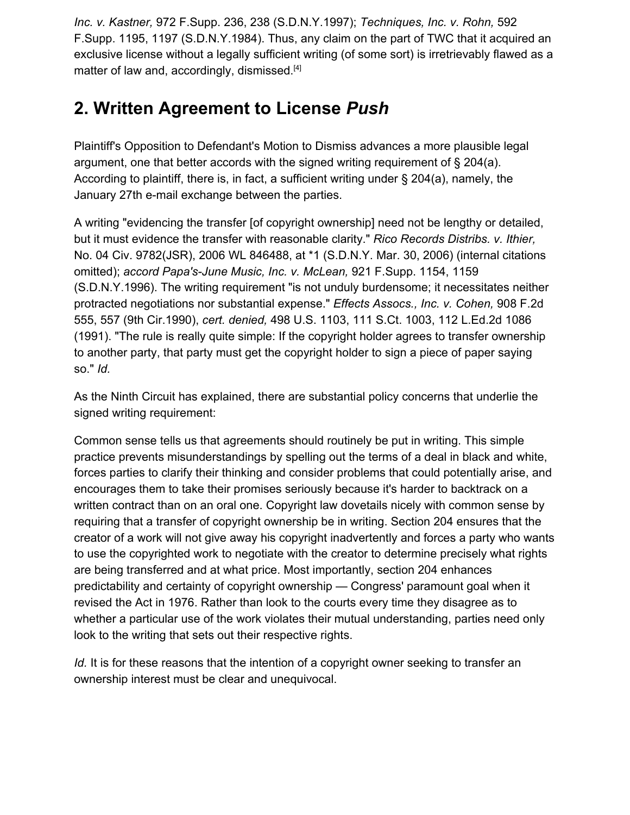*Inc. v. Kastner,* 972 F.Supp. 236, 238 (S.D.N.Y.1997); *Techniques, Inc. v. Rohn,* 592 F.Supp. 1195, 1197 (S.D.N.Y.1984). Thus, any claim on the part of TWC that it acquired an exclusive license without a legally sufficient writing (of some sort) is irretrievably flawed as a matter of law and, accordingly, dismissed.<sup>[4]</sup>

# **2. Written Agreement to License** *Push*

Plaintiff's Opposition to Defendant's Motion to Dismiss advances a more plausible legal argument, one that better accords with the signed writing requirement of  $\S 204(a)$ . According to plaintiff, there is, in fact, a sufficient writing under § 204(a), namely, the January 27th e-mail exchange between the parties.

A writing "evidencing the transfer [of copyright ownership] need not be lengthy or detailed, but it must evidence the transfer with reasonable clarity." *Rico Records Distribs. v. Ithier,* No. 04 Civ. 9782(JSR), 2006 WL 846488, at \*1 (S.D.N.Y. Mar. 30, 2006) (internal citations omitted); *accord Papa's-June Music, Inc. v. McLean,* 921 F.Supp. 1154, 1159 (S.D.N.Y.1996). The writing requirement "is not unduly burdensome; it necessitates neither protracted negotiations nor substantial expense." *Effects Assocs., Inc. v. Cohen,* 908 F.2d 555, 557 (9th Cir.1990), *cert. denied,* 498 U.S. 1103, 111 S.Ct. 1003, 112 L.Ed.2d 1086 (1991). "The rule is really quite simple: If the copyright holder agrees to transfer ownership to another party, that party must get the copyright holder to sign a piece of paper saying so." *Id.*

As the Ninth Circuit has explained, there are substantial policy concerns that underlie the signed writing requirement:

Common sense tells us that agreements should routinely be put in writing. This simple practice prevents misunderstandings by spelling out the terms of a deal in black and white, forces parties to clarify their thinking and consider problems that could potentially arise, and encourages them to take their promises seriously because it's harder to backtrack on a written contract than on an oral one. Copyright law dovetails nicely with common sense by requiring that a transfer of copyright ownership be in writing. Section 204 ensures that the creator of a work will not give away his copyright inadvertently and forces a party who wants to use the copyrighted work to negotiate with the creator to determine precisely what rights are being transferred and at what price. Most importantly, section 204 enhances predictability and certainty of copyright ownership — Congress' paramount goal when it revised the Act in 1976. Rather than look to the courts every time they disagree as to whether a particular use of the work violates their mutual understanding, parties need only look to the writing that sets out their respective rights.

*Id.* It is for these reasons that the intention of a copyright owner seeking to transfer an ownership interest must be clear and unequivocal.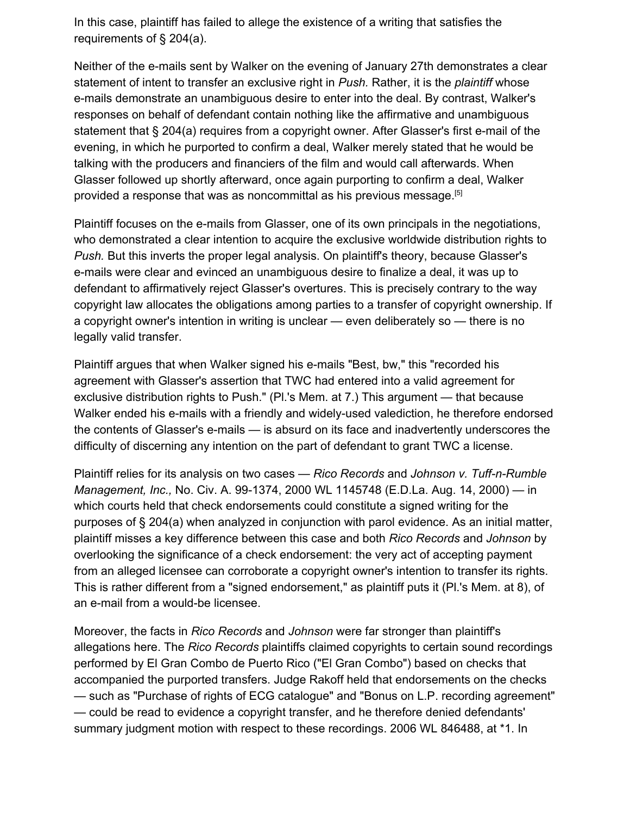In this case, plaintiff has failed to allege the existence of a writing that satisfies the requirements of § 204(a).

Neither of the e-mails sent by Walker on the evening of January 27th demonstrates a clear statement of intent to transfer an exclusive right in *Push.* Rather, it is the *plaintiff* whose e-mails demonstrate an unambiguous desire to enter into the deal. By contrast, Walker's responses on behalf of defendant contain nothing like the affirmative and unambiguous statement that § 204(a) requires from a copyright owner. After Glasser's first e-mail of the evening, in which he purported to confirm a deal, Walker merely stated that he would be talking with the producers and financiers of the film and would call afterwards. When Glasser followed up shortly afterward, once again purporting to confirm a deal, Walker provided a response that was as noncommittal as his previous message.[5]

Plaintiff focuses on the e-mails from Glasser, one of its own principals in the negotiations, who demonstrated a clear intention to acquire the exclusive worldwide distribution rights to *Push.* But this inverts the proper legal analysis. On plaintiff's theory, because Glasser's e-mails were clear and evinced an unambiguous desire to finalize a deal, it was up to defendant to affirmatively reject Glasser's overtures. This is precisely contrary to the way copyright law allocates the obligations among parties to a transfer of copyright ownership. If a copyright owner's intention in writing is unclear — even deliberately so — there is no legally valid transfer.

Plaintiff argues that when Walker signed his e-mails "Best, bw," this "recorded his agreement with Glasser's assertion that TWC had entered into a valid agreement for exclusive distribution rights to Push." (Pl.'s Mem. at 7.) This argument — that because Walker ended his e-mails with a friendly and widely-used valediction, he therefore endorsed the contents of Glasser's e-mails — is absurd on its face and inadvertently underscores the difficulty of discerning any intention on the part of defendant to grant TWC a license.

Plaintiff relies for its analysis on two cases — *Rico Records* and *Johnson v. Tuff-n-Rumble Management, Inc.,* No. Civ. A. 99-1374, 2000 WL 1145748 (E.D.La. Aug. 14, 2000) — in which courts held that check endorsements could constitute a signed writing for the purposes of § 204(a) when analyzed in conjunction with parol evidence. As an initial matter, plaintiff misses a key difference between this case and both *Rico Records* and *Johnson* by overlooking the significance of a check endorsement: the very act of accepting payment from an alleged licensee can corroborate a copyright owner's intention to transfer its rights. This is rather different from a "signed endorsement," as plaintiff puts it (Pl.'s Mem. at 8), of an e-mail from a would-be licensee.

Moreover, the facts in *Rico Records* and *Johnson* were far stronger than plaintiff's allegations here. The *Rico Records* plaintiffs claimed copyrights to certain sound recordings performed by El Gran Combo de Puerto Rico ("El Gran Combo") based on checks that accompanied the purported transfers. Judge Rakoff held that endorsements on the checks — such as "Purchase of rights of ECG catalogue" and "Bonus on L.P. recording agreement" — could be read to evidence a copyright transfer, and he therefore denied defendants' summary judgment motion with respect to these recordings. 2006 WL 846488, at \*1. In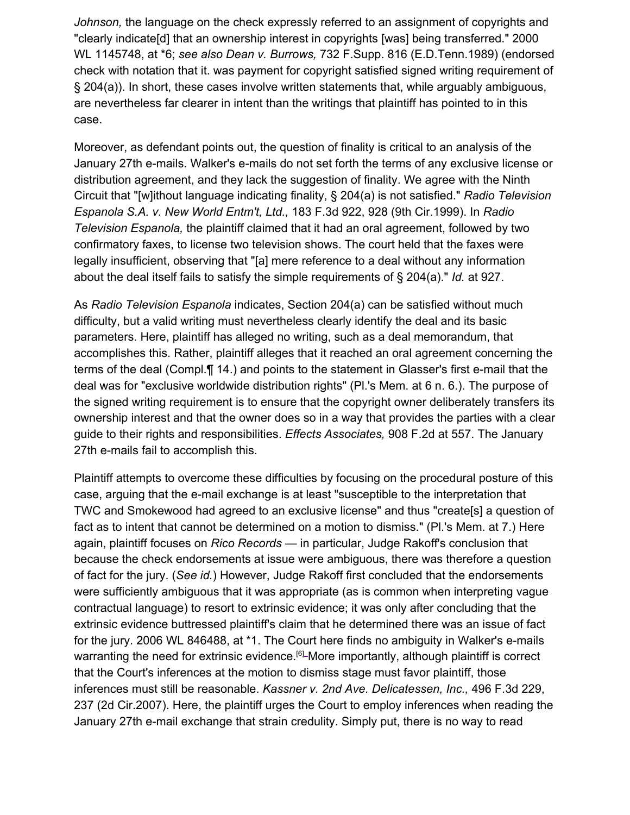*Johnson,* the language on the check expressly referred to an assignment of copyrights and "clearly indicate[d] that an ownership interest in copyrights [was] being transferred." 2000 WL 1145748, at \*6; *see also Dean v. Burrows,* 732 F.Supp. 816 (E.D.Tenn.1989) (endorsed check with notation that it. was payment for copyright satisfied signed writing requirement of § 204(a)). In short, these cases involve written statements that, while arguably ambiguous, are nevertheless far clearer in intent than the writings that plaintiff has pointed to in this case.

Moreover, as defendant points out, the question of finality is critical to an analysis of the January 27th e-mails. Walker's e-mails do not set forth the terms of any exclusive license or distribution agreement, and they lack the suggestion of finality. We agree with the Ninth Circuit that "[w]ithout language indicating finality, § 204(a) is not satisfied." *Radio Television Espanola S.A. v. New World Entm't, Ltd.,* 183 F.3d 922, 928 (9th Cir.1999). In *Radio Television Espanola,* the plaintiff claimed that it had an oral agreement, followed by two confirmatory faxes, to license two television shows. The court held that the faxes were legally insufficient, observing that "[a] mere reference to a deal without any information about the deal itself fails to satisfy the simple requirements of § 204(a)." *Id.* at 927.

As *Radio Television Espanola* indicates, Section 204(a) can be satisfied without much difficulty, but a valid writing must nevertheless clearly identify the deal and its basic parameters. Here, plaintiff has alleged no writing, such as a deal memorandum, that accomplishes this. Rather, plaintiff alleges that it reached an oral agreement concerning the terms of the deal (Compl.¶ 14.) and points to the statement in Glasser's first e-mail that the deal was for "exclusive worldwide distribution rights" (Pl.'s Mem. at 6 n. 6.). The purpose of the signed writing requirement is to ensure that the copyright owner deliberately transfers its ownership interest and that the owner does so in a way that provides the parties with a clear guide to their rights and responsibilities. *Effects Associates,* 908 F.2d at 557. The January 27th e-mails fail to accomplish this.

Plaintiff attempts to overcome these difficulties by focusing on the procedural posture of this case, arguing that the e-mail exchange is at least "susceptible to the interpretation that TWC and Smokewood had agreed to an exclusive license" and thus "create[s] a question of fact as to intent that cannot be determined on a motion to dismiss." (Pl.'s Mem. at 7.) Here again, plaintiff focuses on *Rico Records* — in particular, Judge Rakoff's conclusion that because the check endorsements at issue were ambiguous, there was therefore a question of fact for the jury. (*See id.*) However, Judge Rakoff first concluded that the endorsements were sufficiently ambiguous that it was appropriate (as is common when interpreting vague contractual language) to resort to extrinsic evidence; it was only after concluding that the extrinsic evidence buttressed plaintiff's claim that he determined there was an issue of fact for the jury. 2006 WL 846488, at \*1. The Court here finds no ambiguity in Walker's e-mails warranting the need for extrinsic evidence.<sup>[6]</sup>-More importantly, although plaintiff is correct that the Court's inferences at the motion to dismiss stage must favor plaintiff, those inferences must still be reasonable. *Kassner v. 2nd Ave. Delicatessen, Inc.,* 496 F.3d 229, 237 (2d Cir.2007). Here, the plaintiff urges the Court to employ inferences when reading the January 27th e-mail exchange that strain credulity. Simply put, there is no way to read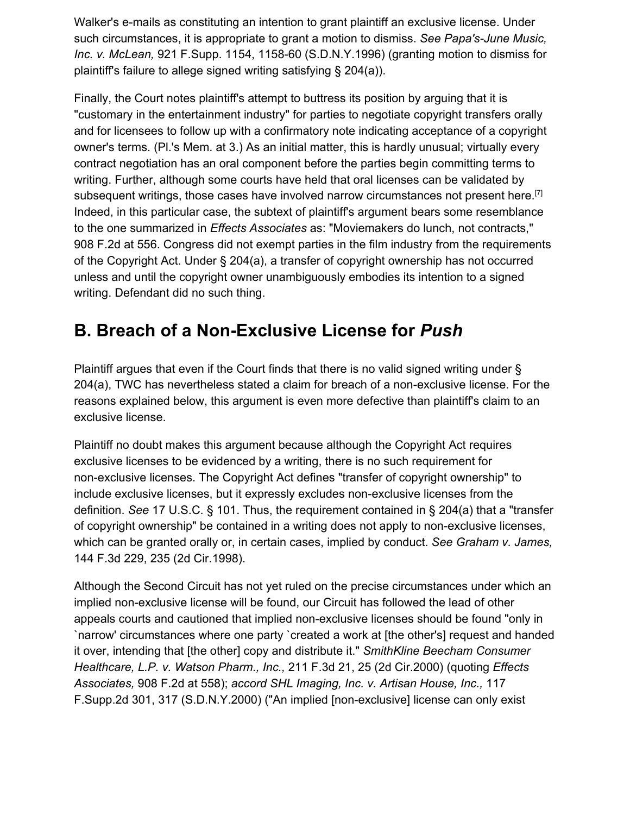Walker's e-mails as constituting an intention to grant plaintiff an exclusive license. Under such circumstances, it is appropriate to grant a motion to dismiss. *See Papa's-June Music, Inc. v. McLean,* 921 F.Supp. 1154, 1158-60 (S.D.N.Y.1996) (granting motion to dismiss for plaintiff's failure to allege signed writing satisfying § 204(a)).

Finally, the Court notes plaintiff's attempt to buttress its position by arguing that it is "customary in the entertainment industry" for parties to negotiate copyright transfers orally and for licensees to follow up with a confirmatory note indicating acceptance of a copyright owner's terms. (Pl.'s Mem. at 3.) As an initial matter, this is hardly unusual; virtually every contract negotiation has an oral component before the parties begin committing terms to writing. Further, although some courts have held that oral licenses can be validated by subsequent writings, those cases have involved narrow circumstances not present here.<sup>[7]</sup> Indeed, in this particular case, the subtext of plaintiff's argument bears some resemblance to the one summarized in *Effects Associates* as: "Moviemakers do lunch, not contracts," 908 F.2d at 556. Congress did not exempt parties in the film industry from the requirements of the Copyright Act. Under § 204(a), a transfer of copyright ownership has not occurred unless and until the copyright owner unambiguously embodies its intention to a signed writing. Defendant did no such thing.

#### **B. Breach of a Non-Exclusive License for** *Push*

Plaintiff argues that even if the Court finds that there is no valid signed writing under § 204(a), TWC has nevertheless stated a claim for breach of a non-exclusive license. For the reasons explained below, this argument is even more defective than plaintiff's claim to an exclusive license.

Plaintiff no doubt makes this argument because although the Copyright Act requires exclusive licenses to be evidenced by a writing, there is no such requirement for non-exclusive licenses. The Copyright Act defines "transfer of copyright ownership" to include exclusive licenses, but it expressly excludes non-exclusive licenses from the definition. *See* 17 U.S.C. § 101. Thus, the requirement contained in § 204(a) that a "transfer of copyright ownership" be contained in a writing does not apply to non-exclusive licenses, which can be granted orally or, in certain cases, implied by conduct. *See Graham v. James,* 144 F.3d 229, 235 (2d Cir.1998).

Although the Second Circuit has not yet ruled on the precise circumstances under which an implied non-exclusive license will be found, our Circuit has followed the lead of other appeals courts and cautioned that implied non-exclusive licenses should be found "only in `narrow' circumstances where one party `created a work at [the other's] request and handed it over, intending that [the other] copy and distribute it." *SmithKline Beecham Consumer Healthcare, L.P. v. Watson Pharm., Inc.,* 211 F.3d 21, 25 (2d Cir.2000) (quoting *Effects Associates,* 908 F.2d at 558); *accord SHL Imaging, Inc. v. Artisan House, Inc.,* 117 F.Supp.2d 301, 317 (S.D.N.Y.2000) ("An implied [non-exclusive] license can only exist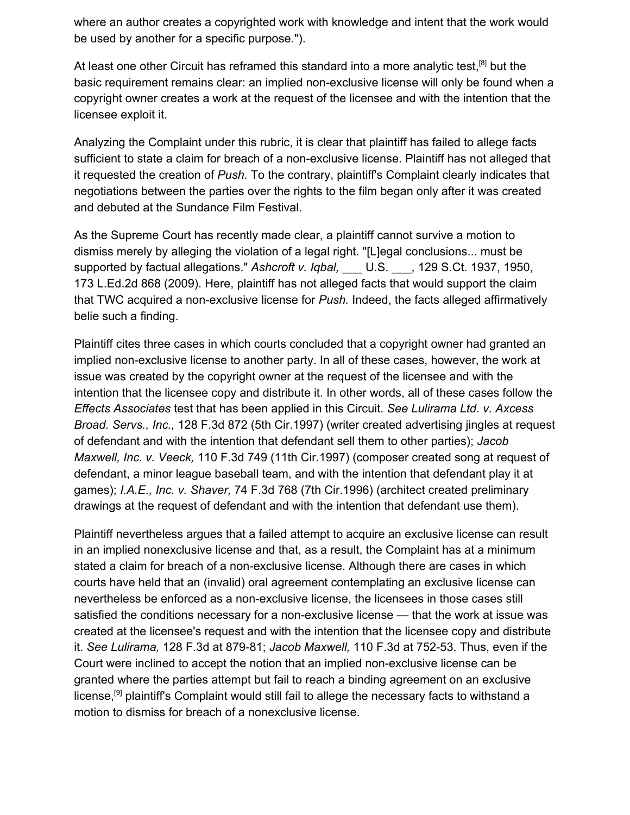where an author creates a copyrighted work with knowledge and intent that the work would be used by another for a specific purpose.").

At least one other Circuit has reframed this standard into a more analytic test,<sup>[8]</sup> but the basic requirement remains clear: an implied non-exclusive license will only be found when a copyright owner creates a work at the request of the licensee and with the intention that the licensee exploit it.

Analyzing the Complaint under this rubric, it is clear that plaintiff has failed to allege facts sufficient to state a claim for breach of a non-exclusive license. Plaintiff has not alleged that it requested the creation of *Push.* To the contrary, plaintiff's Complaint clearly indicates that negotiations between the parties over the rights to the film began only after it was created and debuted at the Sundance Film Festival.

As the Supreme Court has recently made clear, a plaintiff cannot survive a motion to dismiss merely by alleging the violation of a legal right. "[L]egal conclusions... must be supported by factual allegations." Ashcroft v. Igbal, U.S. , 129 S.Ct. 1937, 1950, 173 L.Ed.2d 868 (2009). Here, plaintiff has not alleged facts that would support the claim that TWC acquired a non-exclusive license for *Push.* Indeed, the facts alleged affirmatively belie such a finding.

Plaintiff cites three cases in which courts concluded that a copyright owner had granted an implied non-exclusive license to another party. In all of these cases, however, the work at issue was created by the copyright owner at the request of the licensee and with the intention that the licensee copy and distribute it. In other words, all of these cases follow the *Effects Associates* test that has been applied in this Circuit. *See Lulirama Ltd. v. Axcess Broad. Servs., Inc.,* 128 F.3d 872 (5th Cir.1997) (writer created advertising jingles at request of defendant and with the intention that defendant sell them to other parties); *Jacob Maxwell, Inc. v. Veeck,* 110 F.3d 749 (11th Cir.1997) (composer created song at request of defendant, a minor league baseball team, and with the intention that defendant play it at games); *I.A.E., Inc. v. Shaver,* 74 F.3d 768 (7th Cir.1996) (architect created preliminary drawings at the request of defendant and with the intention that defendant use them).

Plaintiff nevertheless argues that a failed attempt to acquire an exclusive license can result in an implied nonexclusive license and that, as a result, the Complaint has at a minimum stated a claim for breach of a non-exclusive license. Although there are cases in which courts have held that an (invalid) oral agreement contemplating an exclusive license can nevertheless be enforced as a non-exclusive license, the licensees in those cases still satisfied the conditions necessary for a non-exclusive license — that the work at issue was created at the licensee's request and with the intention that the licensee copy and distribute it. *See Lulirama,* 128 F.3d at 879-81; *Jacob Maxwell,* 110 F.3d at 752-53. Thus, even if the Court were inclined to accept the notion that an implied non-exclusive license can be granted where the parties attempt but fail to reach a binding agreement on an exclusive license,<sup>[9]</sup> plaintiff's Complaint would still fail to allege the necessary facts to withstand a motion to dismiss for breach of a nonexclusive license.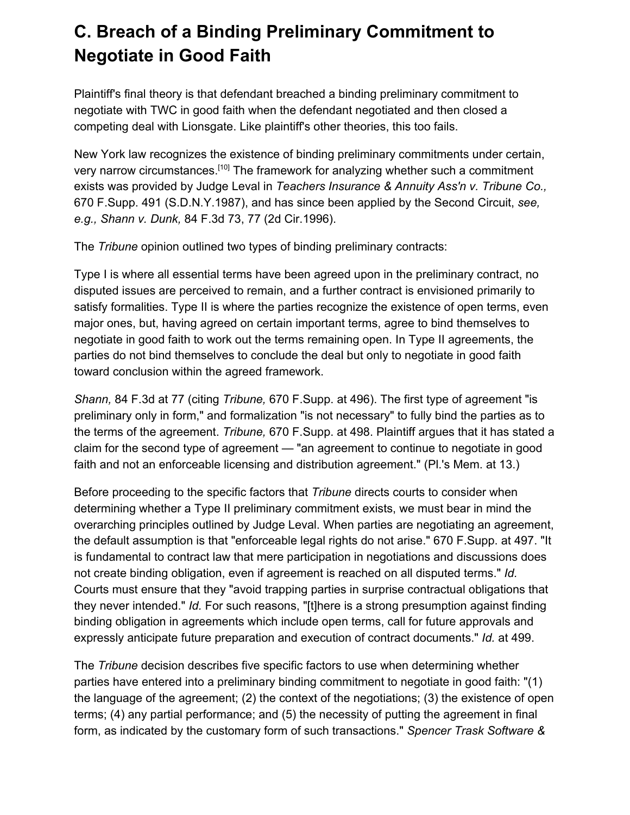# **C. Breach of a Binding Preliminary Commitment to Negotiate in Good Faith**

Plaintiff's final theory is that defendant breached a binding preliminary commitment to negotiate with TWC in good faith when the defendant negotiated and then closed a competing deal with Lionsgate. Like plaintiff's other theories, this too fails.

New York law recognizes the existence of binding preliminary commitments under certain, very narrow circumstances.<sup>[10]</sup> The framework for analyzing whether such a commitment exists was provided by Judge Leval in *Teachers Insurance & Annuity Ass'n v. Tribune Co.,* 670 F.Supp. 491 (S.D.N.Y.1987), and has since been applied by the Second Circuit, *see, e.g., Shann v. Dunk,* 84 F.3d 73, 77 (2d Cir.1996).

The *Tribune* opinion outlined two types of binding preliminary contracts:

Type I is where all essential terms have been agreed upon in the preliminary contract, no disputed issues are perceived to remain, and a further contract is envisioned primarily to satisfy formalities. Type II is where the parties recognize the existence of open terms, even major ones, but, having agreed on certain important terms, agree to bind themselves to negotiate in good faith to work out the terms remaining open. In Type II agreements, the parties do not bind themselves to conclude the deal but only to negotiate in good faith toward conclusion within the agreed framework.

*Shann,* 84 F.3d at 77 (citing *Tribune,* 670 F.Supp. at 496). The first type of agreement "is preliminary only in form," and formalization "is not necessary" to fully bind the parties as to the terms of the agreement. *Tribune,* 670 F.Supp. at 498. Plaintiff argues that it has stated a claim for the second type of agreement — "an agreement to continue to negotiate in good faith and not an enforceable licensing and distribution agreement." (Pl.'s Mem. at 13.)

Before proceeding to the specific factors that *Tribune* directs courts to consider when determining whether a Type II preliminary commitment exists, we must bear in mind the overarching principles outlined by Judge Leval. When parties are negotiating an agreement, the default assumption is that "enforceable legal rights do not arise." 670 F.Supp. at 497. "It is fundamental to contract law that mere participation in negotiations and discussions does not create binding obligation, even if agreement is reached on all disputed terms." *Id.* Courts must ensure that they "avoid trapping parties in surprise contractual obligations that they never intended." *Id.* For such reasons, "[t]here is a strong presumption against finding binding obligation in agreements which include open terms, call for future approvals and expressly anticipate future preparation and execution of contract documents." *Id.* at 499.

The *Tribune* decision describes five specific factors to use when determining whether parties have entered into a preliminary binding commitment to negotiate in good faith: "(1) the language of the agreement; (2) the context of the negotiations; (3) the existence of open terms; (4) any partial performance; and (5) the necessity of putting the agreement in final form, as indicated by the customary form of such transactions." *Spencer Trask Software &*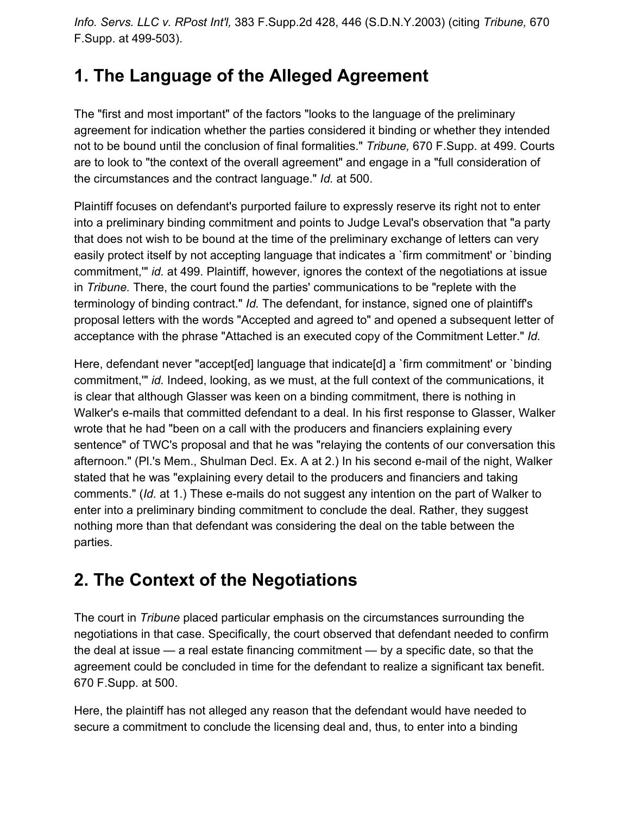*Info. Servs. LLC v. RPost Int'l,* 383 F.Supp.2d 428, 446 (S.D.N.Y.2003) (citing *Tribune,* 670 F.Supp. at 499-503).

## **1. The Language of the Alleged Agreement**

The "first and most important" of the factors "looks to the language of the preliminary agreement for indication whether the parties considered it binding or whether they intended not to be bound until the conclusion of final formalities." *Tribune,* 670 F.Supp. at 499. Courts are to look to "the context of the overall agreement" and engage in a "full consideration of the circumstances and the contract language." *Id.* at 500.

Plaintiff focuses on defendant's purported failure to expressly reserve its right not to enter into a preliminary binding commitment and points to Judge Leval's observation that "a party that does not wish to be bound at the time of the preliminary exchange of letters can very easily protect itself by not accepting language that indicates a `firm commitment' or `binding commitment,'" *id.* at 499. Plaintiff, however, ignores the context of the negotiations at issue in *Tribune.* There, the court found the parties' communications to be "replete with the terminology of binding contract." *Id.* The defendant, for instance, signed one of plaintiff's proposal letters with the words "Accepted and agreed to" and opened a subsequent letter of acceptance with the phrase "Attached is an executed copy of the Commitment Letter." *Id.*

Here, defendant never "accept[ed] language that indicate[d] a `firm commitment' or `binding commitment,'" *id.* Indeed, looking, as we must, at the full context of the communications, it is clear that although Glasser was keen on a binding commitment, there is nothing in Walker's e-mails that committed defendant to a deal. In his first response to Glasser, Walker wrote that he had "been on a call with the producers and financiers explaining every sentence" of TWC's proposal and that he was "relaying the contents of our conversation this afternoon." (Pl.'s Mem., Shulman Decl. Ex. A at 2.) In his second e-mail of the night, Walker stated that he was "explaining every detail to the producers and financiers and taking comments." (*Id.* at 1.) These e-mails do not suggest any intention on the part of Walker to enter into a preliminary binding commitment to conclude the deal. Rather, they suggest nothing more than that defendant was considering the deal on the table between the parties.

## **2. The Context of the Negotiations**

The court in *Tribune* placed particular emphasis on the circumstances surrounding the negotiations in that case. Specifically, the court observed that defendant needed to confirm the deal at issue — a real estate financing commitment — by a specific date, so that the agreement could be concluded in time for the defendant to realize a significant tax benefit. 670 F.Supp. at 500.

Here, the plaintiff has not alleged any reason that the defendant would have needed to secure a commitment to conclude the licensing deal and, thus, to enter into a binding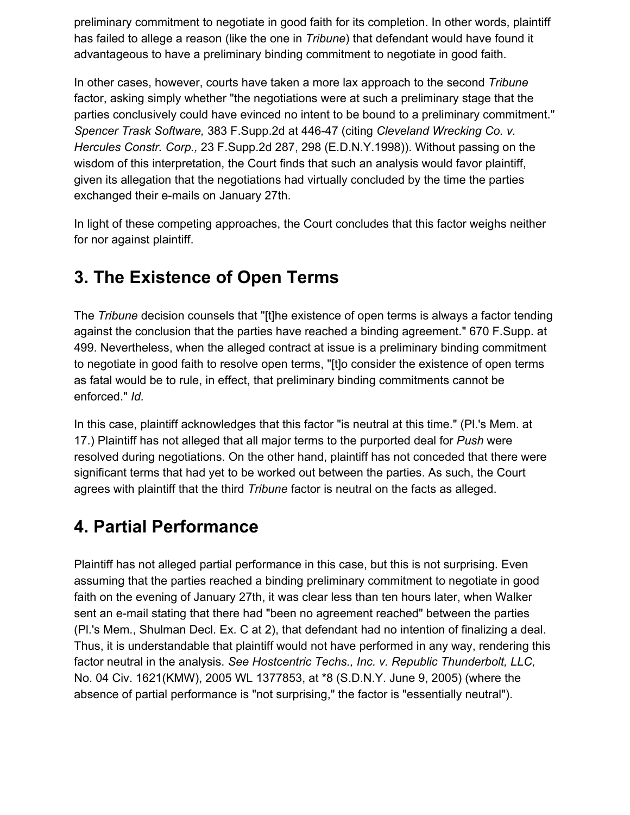preliminary commitment to negotiate in good faith for its completion. In other words, plaintiff has failed to allege a reason (like the one in *Tribune*) that defendant would have found it advantageous to have a preliminary binding commitment to negotiate in good faith.

In other cases, however, courts have taken a more lax approach to the second *Tribune* factor, asking simply whether "the negotiations were at such a preliminary stage that the parties conclusively could have evinced no intent to be bound to a preliminary commitment." *Spencer Trask Software,* 383 F.Supp.2d at 446-47 (citing *Cleveland Wrecking Co. v. Hercules Constr. Corp.,* 23 F.Supp.2d 287, 298 (E.D.N.Y.1998)). Without passing on the wisdom of this interpretation, the Court finds that such an analysis would favor plaintiff, given its allegation that the negotiations had virtually concluded by the time the parties exchanged their e-mails on January 27th.

In light of these competing approaches, the Court concludes that this factor weighs neither for nor against plaintiff.

## **3. The Existence of Open Terms**

The *Tribune* decision counsels that "[t]he existence of open terms is always a factor tending against the conclusion that the parties have reached a binding agreement." 670 F.Supp. at 499. Nevertheless, when the alleged contract at issue is a preliminary binding commitment to negotiate in good faith to resolve open terms, "[t]o consider the existence of open terms as fatal would be to rule, in effect, that preliminary binding commitments cannot be enforced." *Id.*

In this case, plaintiff acknowledges that this factor "is neutral at this time." (Pl.'s Mem. at 17.) Plaintiff has not alleged that all major terms to the purported deal for *Push* were resolved during negotiations. On the other hand, plaintiff has not conceded that there were significant terms that had yet to be worked out between the parties. As such, the Court agrees with plaintiff that the third *Tribune* factor is neutral on the facts as alleged.

#### **4. Partial Performance**

Plaintiff has not alleged partial performance in this case, but this is not surprising. Even assuming that the parties reached a binding preliminary commitment to negotiate in good faith on the evening of January 27th, it was clear less than ten hours later, when Walker sent an e-mail stating that there had "been no agreement reached" between the parties (Pl.'s Mem., Shulman Decl. Ex. C at 2), that defendant had no intention of finalizing a deal. Thus, it is understandable that plaintiff would not have performed in any way, rendering this factor neutral in the analysis. *See Hostcentric Techs., Inc. v. Republic Thunderbolt, LLC,* No. 04 Civ. 1621(KMW), 2005 WL 1377853, at \*8 (S.D.N.Y. June 9, 2005) (where the absence of partial performance is "not surprising," the factor is "essentially neutral").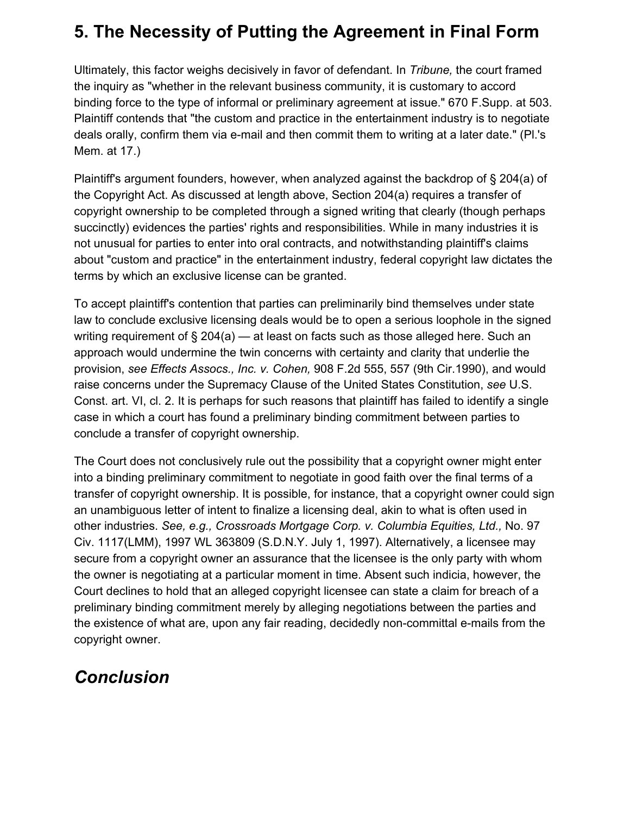## **5. The Necessity of Putting the Agreement in Final Form**

Ultimately, this factor weighs decisively in favor of defendant. In *Tribune,* the court framed the inquiry as "whether in the relevant business community, it is customary to accord binding force to the type of informal or preliminary agreement at issue." 670 F.Supp. at 503. Plaintiff contends that "the custom and practice in the entertainment industry is to negotiate deals orally, confirm them via e-mail and then commit them to writing at a later date." (Pl.'s Mem. at 17.)

Plaintiff's argument founders, however, when analyzed against the backdrop of § 204(a) of the Copyright Act. As discussed at length above, Section 204(a) requires a transfer of copyright ownership to be completed through a signed writing that clearly (though perhaps succinctly) evidences the parties' rights and responsibilities. While in many industries it is not unusual for parties to enter into oral contracts, and notwithstanding plaintiff's claims about "custom and practice" in the entertainment industry, federal copyright law dictates the terms by which an exclusive license can be granted.

To accept plaintiff's contention that parties can preliminarily bind themselves under state law to conclude exclusive licensing deals would be to open a serious loophole in the signed writing requirement of  $\S 204(a)$  — at least on facts such as those alleged here. Such an approach would undermine the twin concerns with certainty and clarity that underlie the provision, *see Effects Assocs., Inc. v. Cohen,* 908 F.2d 555, 557 (9th Cir.1990), and would raise concerns under the Supremacy Clause of the United States Constitution, *see* U.S. Const. art. VI, cl. 2. It is perhaps for such reasons that plaintiff has failed to identify a single case in which a court has found a preliminary binding commitment between parties to conclude a transfer of copyright ownership.

The Court does not conclusively rule out the possibility that a copyright owner might enter into a binding preliminary commitment to negotiate in good faith over the final terms of a transfer of copyright ownership. It is possible, for instance, that a copyright owner could sign an unambiguous letter of intent to finalize a licensing deal, akin to what is often used in other industries. *See, e.g., Crossroads Mortgage Corp. v. Columbia Equities, Ltd.,* No. 97 Civ. 1117(LMM), 1997 WL 363809 (S.D.N.Y. July 1, 1997). Alternatively, a licensee may secure from a copyright owner an assurance that the licensee is the only party with whom the owner is negotiating at a particular moment in time. Absent such indicia, however, the Court declines to hold that an alleged copyright licensee can state a claim for breach of a preliminary binding commitment merely by alleging negotiations between the parties and the existence of what are, upon any fair reading, decidedly non-committal e-mails from the copyright owner.

#### *Conclusion*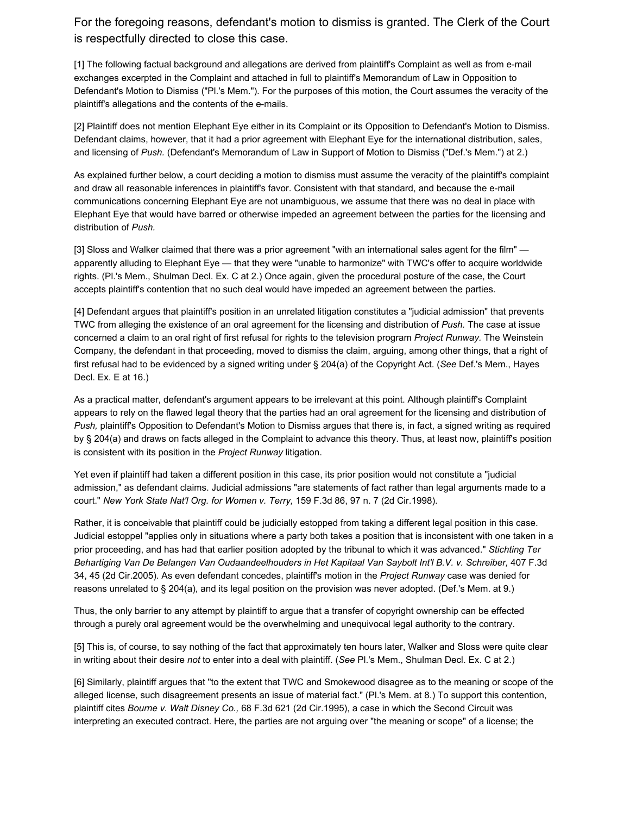For the foregoing reasons, defendant's motion to dismiss is granted. The Clerk of the Court is respectfully directed to close this case.

[1] The following factual background and allegations are derived from plaintiff's Complaint as well as from e-mail exchanges excerpted in the Complaint and attached in full to plaintiff's Memorandum of Law in Opposition to Defendant's Motion to Dismiss ("Pl.'s Mem."). For the purposes of this motion, the Court assumes the veracity of the plaintiff's allegations and the contents of the e-mails.

[2] Plaintiff does not mention Elephant Eye either in its Complaint or its Opposition to Defendant's Motion to Dismiss. Defendant claims, however, that it had a prior agreement with Elephant Eye for the international distribution, sales, and licensing of *Push.* (Defendant's Memorandum of Law in Support of Motion to Dismiss ("Def.'s Mem.") at 2.)

As explained further below, a court deciding a motion to dismiss must assume the veracity of the plaintiff's complaint and draw all reasonable inferences in plaintiff's favor. Consistent with that standard, and because the e-mail communications concerning Elephant Eye are not unambiguous, we assume that there was no deal in place with Elephant Eye that would have barred or otherwise impeded an agreement between the parties for the licensing and distribution of *Push.*

[3] Sloss and Walker claimed that there was a prior agreement "with an international sales agent for the film" apparently alluding to Elephant Eye — that they were "unable to harmonize" with TWC's offer to acquire worldwide rights. (Pl.'s Mem., Shulman Decl. Ex. C at 2.) Once again, given the procedural posture of the case, the Court accepts plaintiff's contention that no such deal would have impeded an agreement between the parties.

[4] Defendant argues that plaintiff's position in an unrelated litigation constitutes a "judicial admission" that prevents TWC from alleging the existence of an oral agreement for the licensing and distribution of *Push.* The case at issue concerned a claim to an oral right of first refusal for rights to the television program *Project Runway.* The Weinstein Company, the defendant in that proceeding, moved to dismiss the claim, arguing, among other things, that a right of first refusal had to be evidenced by a signed writing under § 204(a) of the Copyright Act. (*See* Def.'s Mem., Hayes Decl. Ex. E at 16.)

As a practical matter, defendant's argument appears to be irrelevant at this point. Although plaintiff's Complaint appears to rely on the flawed legal theory that the parties had an oral agreement for the licensing and distribution of *Push,* plaintiff's Opposition to Defendant's Motion to Dismiss argues that there is, in fact, a signed writing as required by § 204(a) and draws on facts alleged in the Complaint to advance this theory. Thus, at least now, plaintiff's position is consistent with its position in the *Project Runway* litigation.

Yet even if plaintiff had taken a different position in this case, its prior position would not constitute a "judicial admission," as defendant claims. Judicial admissions "are statements of fact rather than legal arguments made to a court." *New York State Nat'l Org. for Women v. Terry,* 159 F.3d 86, 97 n. 7 (2d Cir.1998).

Rather, it is conceivable that plaintiff could be judicially estopped from taking a different legal position in this case. Judicial estoppel "applies only in situations where a party both takes a position that is inconsistent with one taken in a prior proceeding, and has had that earlier position adopted by the tribunal to which it was advanced." *Stichting Ter Behartiging Van De Belangen Van Oudaandeelhouders in Het Kapitaal Van Saybolt Int'l B.V. v. Schreiber,* 407 F.3d 34, 45 (2d Cir.2005). As even defendant concedes, plaintiff's motion in the *Project Runway* case was denied for reasons unrelated to § 204(a), and its legal position on the provision was never adopted. (Def.'s Mem. at 9.)

Thus, the only barrier to any attempt by plaintiff to argue that a transfer of copyright ownership can be effected through a purely oral agreement would be the overwhelming and unequivocal legal authority to the contrary.

[5] This is, of course, to say nothing of the fact that approximately ten hours later, Walker and Sloss were quite clear in writing about their desire *not* to enter into a deal with plaintiff. (*See* Pl.'s Mem., Shulman Decl. Ex. C at 2.)

[6] Similarly, plaintiff argues that "to the extent that TWC and Smokewood disagree as to the meaning or scope of the alleged license, such disagreement presents an issue of material fact." (Pl.'s Mem. at 8.) To support this contention, plaintiff cites *Bourne v. Walt Disney Co.,* 68 F.3d 621 (2d Cir.1995), a case in which the Second Circuit was interpreting an executed contract. Here, the parties are not arguing over "the meaning or scope" of a license; the